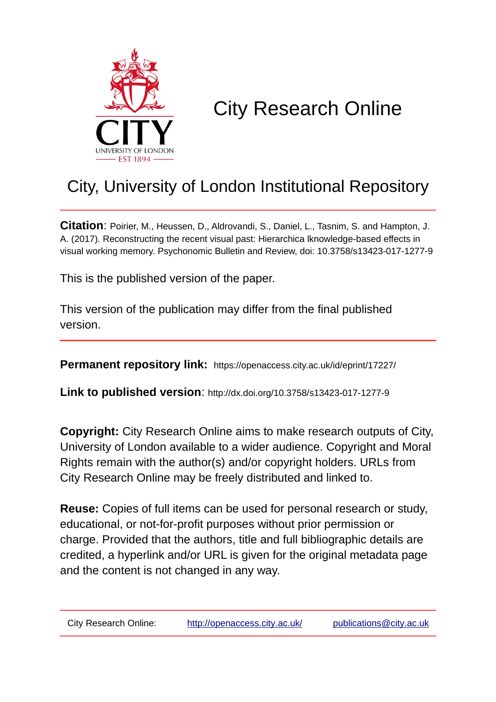

# City Research Online

## City, University of London Institutional Repository

**Citation**: Poirier, M., Heussen, D., Aldrovandi, S., Daniel, L., Tasnim, S. and Hampton, J. A. (2017). Reconstructing the recent visual past: Hierarchica lknowledge-based effects in visual working memory. Psychonomic Bulletin and Review, doi: 10.3758/s13423-017-1277-9

This is the published version of the paper.

This version of the publication may differ from the final published version.

**Permanent repository link:** https://openaccess.city.ac.uk/id/eprint/17227/

**Link to published version**: http://dx.doi.org/10.3758/s13423-017-1277-9

**Copyright:** City Research Online aims to make research outputs of City, University of London available to a wider audience. Copyright and Moral Rights remain with the author(s) and/or copyright holders. URLs from City Research Online may be freely distributed and linked to.

**Reuse:** Copies of full items can be used for personal research or study, educational, or not-for-profit purposes without prior permission or charge. Provided that the authors, title and full bibliographic details are credited, a hyperlink and/or URL is given for the original metadata page and the content is not changed in any way.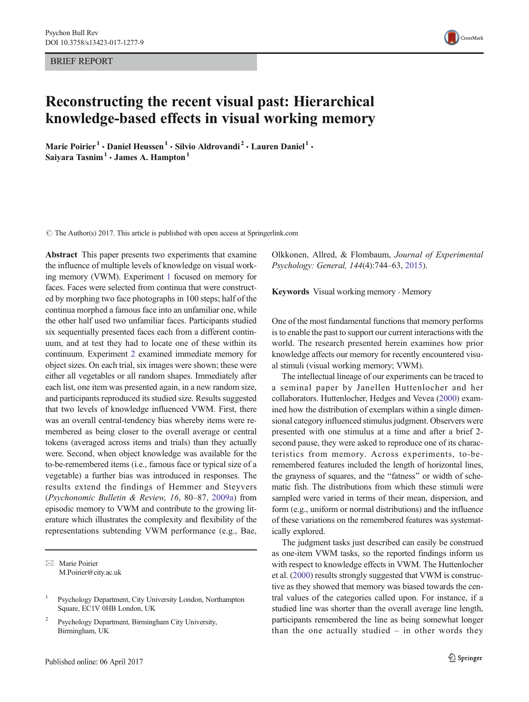BRIEF REPORT



### Reconstructing the recent visual past: Hierarchical knowledge-based effects in visual working memory

Marie Poirier<sup>1</sup> · Daniel Heussen<sup>1</sup> · Silvio Aldrovandi<sup>2</sup> · Lauren Daniel<sup>1</sup> · Saiyara Tasnim<sup>1</sup>  $\cdot$  James A. Hampton<sup>1</sup>

 $\odot$  The Author(s) 2017. This article is published with open access at Springerlink.com

Abstract This paper presents two experiments that examine the influence of multiple levels of knowledge on visual working memory (VWM). Experiment [1](#page-3-0) focused on memory for faces. Faces were selected from continua that were constructed by morphing two face photographs in 100 steps; half of the continua morphed a famous face into an unfamiliar one, while the other half used two unfamiliar faces. Participants studied six sequentially presented faces each from a different continuum, and at test they had to locate one of these within its continuum. Experiment [2](#page-6-0) examined immediate memory for object sizes. On each trial, six images were shown; these were either all vegetables or all random shapes. Immediately after each list, one item was presented again, in a new random size, and participants reproduced its studied size. Results suggested that two levels of knowledge influenced VWM. First, there was an overall central-tendency bias whereby items were remembered as being closer to the overall average or central tokens (averaged across items and trials) than they actually were. Second, when object knowledge was available for the to-be-remembered items (i.e., famous face or typical size of a vegetable) a further bias was introduced in responses. The results extend the findings of Hemmer and Steyvers (Psychonomic Bulletin & Review, 16, 80–87, [2009a\)](#page-11-0) from episodic memory to VWM and contribute to the growing literature which illustrates the complexity and flexibility of the representations subtending VWM performance (e.g., Bae,

 $\boxtimes$  Marie Poirier M.Poirier@city.ac.uk

<sup>2</sup> Psychology Department, Birmingham City University, Birmingham, UK

Olkkonen, Allred, & Flombaum, Journal of Experimental Psychology: General, 144(4):744–63, [2015\)](#page-11-0).

Keywords Visual working memory . Memory

One of the most fundamental functions that memory performs is to enable the past to support our current interactions with the world. The research presented herein examines how prior knowledge affects our memory for recently encountered visual stimuli (visual working memory; VWM).

The intellectual lineage of our experiments can be traced to a seminal paper by Janellen Huttenlocher and her collaborators. Huttenlocher, Hedges and Vevea ([2000](#page-11-0)) examined how the distribution of exemplars within a single dimensional category influenced stimulus judgment. Observers were presented with one stimulus at a time and after a brief 2 second pause, they were asked to reproduce one of its characteristics from memory. Across experiments, to-beremembered features included the length of horizontal lines, the grayness of squares, and the "fatness" or width of schematic fish. The distributions from which these stimuli were sampled were varied in terms of their mean, dispersion, and form (e.g., uniform or normal distributions) and the influence of these variations on the remembered features was systematically explored.

The judgment tasks just described can easily be construed as one-item VWM tasks, so the reported findings inform us with respect to knowledge effects in VWM. The Huttenlocher et al. ([2000](#page-11-0)) results strongly suggested that VWM is constructive as they showed that memory was biased towards the central values of the categories called upon. For instance, if a studied line was shorter than the overall average line length, participants remembered the line as being somewhat longer than the one actually studied  $-$  in other words they

<sup>1</sup> Psychology Department, City University London, Northampton Square, EC1V 0HB London, UK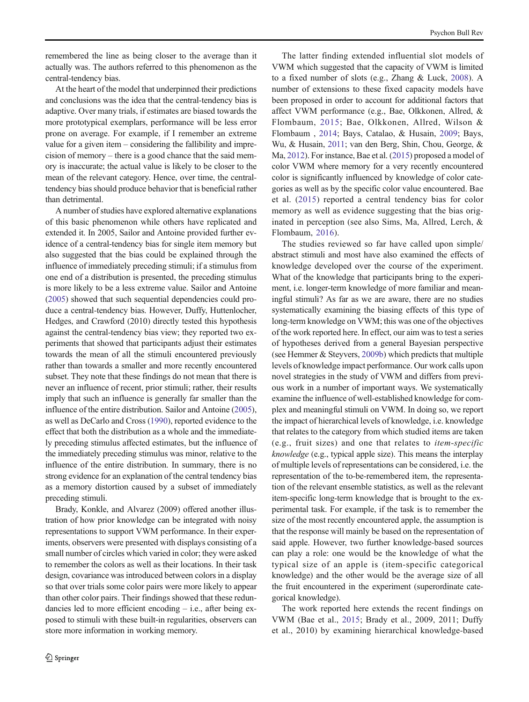remembered the line as being closer to the average than it actually was. The authors referred to this phenomenon as the central-tendency bias.

At the heart of the model that underpinned their predictions and conclusions was the idea that the central-tendency bias is adaptive. Over many trials, if estimates are biased towards the more prototypical exemplars, performance will be less error prone on average. For example, if I remember an extreme value for a given item – considering the fallibility and imprecision of memory – there is a good chance that the said memory is inaccurate; the actual value is likely to be closer to the mean of the relevant category. Hence, over time, the centraltendency bias should produce behavior that is beneficial rather than detrimental.

A number of studies have explored alternative explanations of this basic phenomenon while others have replicated and extended it. In 2005, Sailor and Antoine provided further evidence of a central-tendency bias for single item memory but also suggested that the bias could be explained through the influence of immediately preceding stimuli; if a stimulus from one end of a distribution is presented, the preceding stimulus is more likely to be a less extreme value. Sailor and Antoine [\(2005\)](#page-11-0) showed that such sequential dependencies could produce a central-tendency bias. However, Duffy, Huttenlocher, Hedges, and Crawford (2010) directly tested this hypothesis against the central-tendency bias view; they reported two experiments that showed that participants adjust their estimates towards the mean of all the stimuli encountered previously rather than towards a smaller and more recently encountered subset. They note that these findings do not mean that there is never an influence of recent, prior stimuli; rather, their results imply that such an influence is generally far smaller than the influence of the entire distribution. Sailor and Antoine [\(2005\)](#page-11-0), as well as DeCarlo and Cross [\(1990\)](#page-11-0), reported evidence to the effect that both the distribution as a whole and the immediately preceding stimulus affected estimates, but the influence of the immediately preceding stimulus was minor, relative to the influence of the entire distribution. In summary, there is no strong evidence for an explanation of the central tendency bias as a memory distortion caused by a subset of immediately preceding stimuli.

Brady, Konkle, and Alvarez (2009) offered another illustration of how prior knowledge can be integrated with noisy representations to support VWM performance. In their experiments, observers were presented with displays consisting of a small number of circles which varied in color; they were asked to remember the colors as well as their locations. In their task design, covariance was introduced between colors in a display so that over trials some color pairs were more likely to appear than other color pairs. Their findings showed that these redundancies led to more efficient encoding – i.e., after being exposed to stimuli with these built-in regularities, observers can store more information in working memory.

The latter finding extended influential slot models of VWM which suggested that the capacity of VWM is limited to a fixed number of slots (e.g., Zhang & Luck, [2008\)](#page-11-0). A number of extensions to these fixed capacity models have been proposed in order to account for additional factors that affect VWM performance (e.g., Bae, Olkkonen, Allred, & Flombaum, [2015;](#page-11-0) Bae, Olkkonen, Allred, Wilson & Flombaum , [2014;](#page-11-0) Bays, Catalao, & Husain, [2009](#page-11-0); Bays, Wu, & Husain, [2011](#page-11-0); van den Berg, Shin, Chou, George, & Ma, [2012](#page-11-0)). For instance, Bae et al. ([2015](#page-11-0)) proposed a model of color VWM where memory for a very recently encountered color is significantly influenced by knowledge of color categories as well as by the specific color value encountered. Bae et al. ([2015\)](#page-11-0) reported a central tendency bias for color memory as well as evidence suggesting that the bias originated in perception (see also Sims, Ma, Allred, Lerch, & Flombaum, [2016](#page-11-0)).

The studies reviewed so far have called upon simple/ abstract stimuli and most have also examined the effects of knowledge developed over the course of the experiment. What of the knowledge that participants bring to the experiment, i.e. longer-term knowledge of more familiar and meaningful stimuli? As far as we are aware, there are no studies systematically examining the biasing effects of this type of long-term knowledge on VWM; this was one of the objectives of the work reported here. In effect, our aim was to test a series of hypotheses derived from a general Bayesian perspective (see Hemmer & Steyvers, [2009b\)](#page-11-0) which predicts that multiple levels of knowledge impact performance. Our work calls upon novel strategies in the study of VWM and differs from previous work in a number of important ways. We systematically examine the influence of well-established knowledge for complex and meaningful stimuli on VWM. In doing so, we report the impact of hierarchical levels of knowledge, i.e. knowledge that relates to the category from which studied items are taken (e.g., fruit sizes) and one that relates to item-specific knowledge (e.g., typical apple size). This means the interplay of multiple levels of representations can be considered, i.e. the representation of the to-be-remembered item, the representation of the relevant ensemble statistics, as well as the relevant item-specific long-term knowledge that is brought to the experimental task. For example, if the task is to remember the size of the most recently encountered apple, the assumption is that the response will mainly be based on the representation of said apple. However, two further knowledge-based sources can play a role: one would be the knowledge of what the typical size of an apple is (item-specific categorical knowledge) and the other would be the average size of all the fruit encountered in the experiment (superordinate categorical knowledge).

The work reported here extends the recent findings on VWM (Bae et al., [2015](#page-11-0); Brady et al., 2009, 2011; Duffy et al., 2010) by examining hierarchical knowledge-based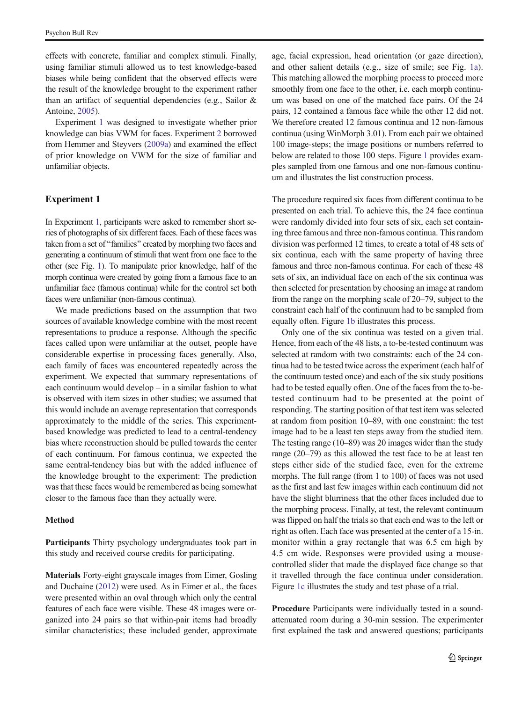<span id="page-3-0"></span>effects with concrete, familiar and complex stimuli. Finally, using familiar stimuli allowed us to test knowledge-based biases while being confident that the observed effects were the result of the knowledge brought to the experiment rather than an artifact of sequential dependencies (e.g., Sailor & Antoine, [2005\)](#page-11-0).

Experiment 1 was designed to investigate whether prior knowledge can bias VWM for faces. Experiment [2](#page-6-0) borrowed from Hemmer and Steyvers ([2009a](#page-11-0)) and examined the effect of prior knowledge on VWM for the size of familiar and unfamiliar objects.

#### Experiment 1

In Experiment 1, participants were asked to remember short series of photographs of six different faces. Each of these faces was taken from a set of "families" created by morphing two faces and generating a continuum of stimuli that went from one face to the other (see Fig. [1](#page-4-0)). To manipulate prior knowledge, half of the morph continua were created by going from a famous face to an unfamiliar face (famous continua) while for the control set both faces were unfamiliar (non-famous continua).

We made predictions based on the assumption that two sources of available knowledge combine with the most recent representations to produce a response. Although the specific faces called upon were unfamiliar at the outset, people have considerable expertise in processing faces generally. Also, each family of faces was encountered repeatedly across the experiment. We expected that summary representations of each continuum would develop – in a similar fashion to what is observed with item sizes in other studies; we assumed that this would include an average representation that corresponds approximately to the middle of the series. This experimentbased knowledge was predicted to lead to a central-tendency bias where reconstruction should be pulled towards the center of each continuum. For famous continua, we expected the same central-tendency bias but with the added influence of the knowledge brought to the experiment: The prediction was that these faces would be remembered as being somewhat closer to the famous face than they actually were.

#### Method

Participants Thirty psychology undergraduates took part in this study and received course credits for participating.

Materials Forty-eight grayscale images from Eimer, Gosling and Duchaine ([2012](#page-11-0)) were used. As in Eimer et al., the faces were presented within an oval through which only the central features of each face were visible. These 48 images were organized into 24 pairs so that within-pair items had broadly similar characteristics; these included gender, approximate age, facial expression, head orientation (or gaze direction), and other salient details (e.g., size of smile; see Fig. [1a](#page-4-0)). This matching allowed the morphing process to proceed more smoothly from one face to the other, i.e. each morph continuum was based on one of the matched face pairs. Of the 24 pairs, 12 contained a famous face while the other 12 did not. We therefore created 12 famous continua and 12 non-famous continua (using WinMorph 3.01). From each pair we obtained 100 image-steps; the image positions or numbers referred to below are related to those 100 steps. Figure [1](#page-4-0) provides examples sampled from one famous and one non-famous continuum and illustrates the list construction process.

The procedure required six faces from different continua to be presented on each trial. To achieve this, the 24 face continua were randomly divided into four sets of six, each set containing three famous and three non-famous continua. This random division was performed 12 times, to create a total of 48 sets of six continua, each with the same property of having three famous and three non-famous continua. For each of these 48 sets of six, an individual face on each of the six continua was then selected for presentation by choosing an image at random from the range on the morphing scale of 20–79, subject to the constraint each half of the continuum had to be sampled from equally often. Figure [1b](#page-4-0) illustrates this process.

Only one of the six continua was tested on a given trial. Hence, from each of the 48 lists, a to-be-tested continuum was selected at random with two constraints: each of the 24 continua had to be tested twice across the experiment (each half of the continuum tested once) and each of the six study positions had to be tested equally often. One of the faces from the to-betested continuum had to be presented at the point of responding. The starting position of that test item was selected at random from position 10–89, with one constraint: the test image had to be a least ten steps away from the studied item. The testing range (10–89) was 20 images wider than the study range (20–79) as this allowed the test face to be at least ten steps either side of the studied face, even for the extreme morphs. The full range (from 1 to 100) of faces was not used as the first and last few images within each continuum did not have the slight blurriness that the other faces included due to the morphing process. Finally, at test, the relevant continuum was flipped on half the trials so that each end was to the left or right as often. Each face was presented at the center of a 15-in. monitor within a gray rectangle that was 6.5 cm high by 4.5 cm wide. Responses were provided using a mousecontrolled slider that made the displayed face change so that it travelled through the face continua under consideration. Figure [1c](#page-4-0) illustrates the study and test phase of a trial.

Procedure Participants were individually tested in a soundattenuated room during a 30-min session. The experimenter first explained the task and answered questions; participants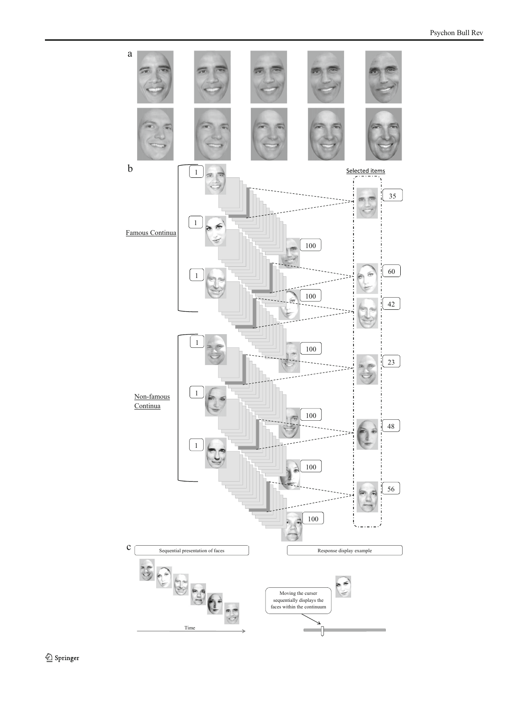<span id="page-4-0"></span>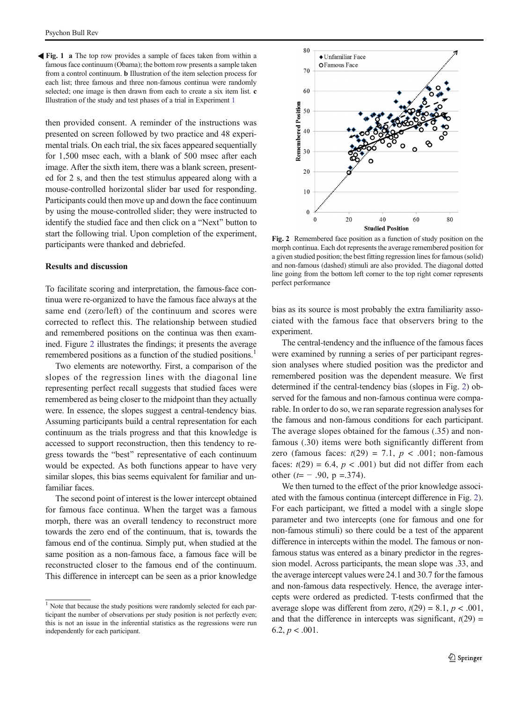<span id="page-5-0"></span>Fig. 1 a The top row provides a sample of faces taken from within a famous face continuum (Obama); the bottom row presents a sample taken from a control continuum. b Illustration of the item selection process for each list; three famous and three non-famous continua were randomly selected; one image is then drawn from each to create a six item list. c Illustration of the study and test phases of a trial in Experiment [1](#page-3-0)

then provided consent. A reminder of the instructions was presented on screen followed by two practice and 48 experimental trials. On each trial, the six faces appeared sequentially for 1,500 msec each, with a blank of 500 msec after each image. After the sixth item, there was a blank screen, presented for 2 s, and then the test stimulus appeared along with a mouse-controlled horizontal slider bar used for responding. Participants could then move up and down the face continuum by using the mouse-controlled slider; they were instructed to identify the studied face and then click on a "Next" button to start the following trial. Upon completion of the experiment, participants were thanked and debriefed.

#### Results and discussion

To facilitate scoring and interpretation, the famous-face continua were re-organized to have the famous face always at the same end (zero/left) of the continuum and scores were corrected to reflect this. The relationship between studied and remembered positions on the continua was then examined. Figure 2 illustrates the findings; it presents the average remembered positions as a function of the studied positions.<sup>1</sup>

Two elements are noteworthy. First, a comparison of the slopes of the regression lines with the diagonal line representing perfect recall suggests that studied faces were remembered as being closer to the midpoint than they actually were. In essence, the slopes suggest a central-tendency bias. Assuming participants build a central representation for each continuum as the trials progress and that this knowledge is accessed to support reconstruction, then this tendency to regress towards the "best" representative of each continuum would be expected. As both functions appear to have very similar slopes, this bias seems equivalent for familiar and unfamiliar faces.

The second point of interest is the lower intercept obtained for famous face continua. When the target was a famous morph, there was an overall tendency to reconstruct more towards the zero end of the continuum, that is, towards the famous end of the continua. Simply put, when studied at the same position as a non-famous face, a famous face will be reconstructed closer to the famous end of the continuum. This difference in intercept can be seen as a prior knowledge



Fig. 2 Remembered face position as a function of study position on the morph continua. Each dot represents the average remembered position for a given studied position; the best fitting regression lines for famous (solid) and non-famous (dashed) stimuli are also provided. The diagonal dotted line going from the bottom left corner to the top right corner represents perfect performance

bias as its source is most probably the extra familiarity associated with the famous face that observers bring to the experiment.

The central-tendency and the influence of the famous faces were examined by running a series of per participant regression analyses where studied position was the predictor and remembered position was the dependent measure. We first determined if the central-tendency bias (slopes in Fig. 2) observed for the famous and non-famous continua were comparable. In order to do so, we ran separate regression analyses for the famous and non-famous conditions for each participant. The average slopes obtained for the famous (.35) and nonfamous (.30) items were both significantly different from zero (famous faces:  $t(29) = 7.1$ ,  $p < .001$ ; non-famous faces:  $t(29) = 6.4$ ,  $p < .001$ ) but did not differ from each other  $(t=-.90, p = .374)$ .

We then turned to the effect of the prior knowledge associated with the famous continua (intercept difference in Fig. 2). For each participant, we fitted a model with a single slope parameter and two intercepts (one for famous and one for non-famous stimuli) so there could be a test of the apparent difference in intercepts within the model. The famous or nonfamous status was entered as a binary predictor in the regression model. Across participants, the mean slope was .33, and the average intercept values were 24.1 and 30.7 for the famous and non-famous data respectively. Hence, the average intercepts were ordered as predicted. T-tests confirmed that the average slope was different from zero,  $t(29) = 8.1$ ,  $p < .001$ , and that the difference in intercepts was significant,  $t(29) =$  $6.2, p < .001$ .

<sup>&</sup>lt;sup>1</sup> Note that because the study positions were randomly selected for each participant the number of observations per study position is not perfectly even; this is not an issue in the inferential statistics as the regressions were run independently for each participant.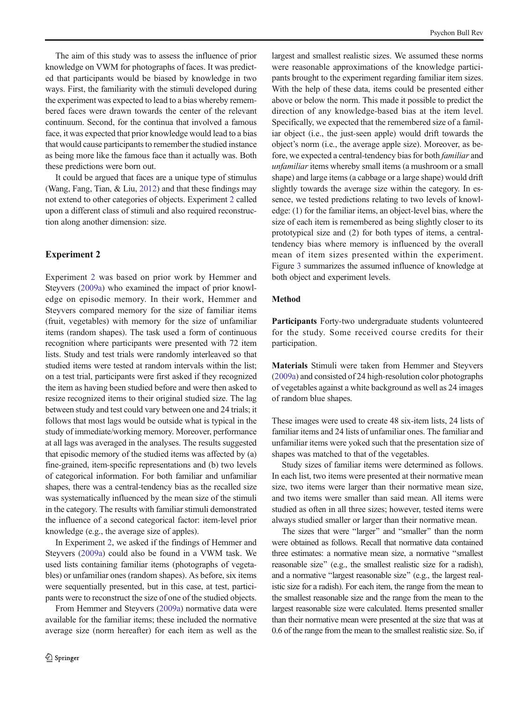<span id="page-6-0"></span>The aim of this study was to assess the influence of prior knowledge on VWM for photographs of faces. It was predicted that participants would be biased by knowledge in two ways. First, the familiarity with the stimuli developed during the experiment was expected to lead to a bias whereby remembered faces were drawn towards the center of the relevant continuum. Second, for the continua that involved a famous face, it was expected that prior knowledge would lead to a bias that would cause participants to remember the studied instance as being more like the famous face than it actually was. Both these predictions were born out.

It could be argued that faces are a unique type of stimulus (Wang, Fang, Tian, & Liu, [2012\)](#page-11-0) and that these findings may not extend to other categories of objects. Experiment [2](#page-5-0) called upon a different class of stimuli and also required reconstruction along another dimension: size.

#### Experiment 2

Experiment 2 was based on prior work by Hemmer and Steyvers ([2009a\)](#page-11-0) who examined the impact of prior knowledge on episodic memory. In their work, Hemmer and Steyvers compared memory for the size of familiar items (fruit, vegetables) with memory for the size of unfamiliar items (random shapes). The task used a form of continuous recognition where participants were presented with 72 item lists. Study and test trials were randomly interleaved so that studied items were tested at random intervals within the list; on a test trial, participants were first asked if they recognized the item as having been studied before and were then asked to resize recognized items to their original studied size. The lag between study and test could vary between one and 24 trials; it follows that most lags would be outside what is typical in the study of immediate/working memory. Moreover, performance at all lags was averaged in the analyses. The results suggested that episodic memory of the studied items was affected by (a) fine-grained, item-specific representations and (b) two levels of categorical information. For both familiar and unfamiliar shapes, there was a central-tendency bias as the recalled size was systematically influenced by the mean size of the stimuli in the category. The results with familiar stimuli demonstrated the influence of a second categorical factor: item-level prior knowledge (e.g., the average size of apples).

In Experiment 2, we asked if the findings of Hemmer and Steyvers [\(2009a](#page-11-0)) could also be found in a VWM task. We used lists containing familiar items (photographs of vegetables) or unfamiliar ones (random shapes). As before, six items were sequentially presented, but in this case, at test, participants were to reconstruct the size of one of the studied objects.

From Hemmer and Steyvers [\(2009a](#page-11-0)) normative data were available for the familiar items; these included the normative average size (norm hereafter) for each item as well as the

largest and smallest realistic sizes. We assumed these norms were reasonable approximations of the knowledge participants brought to the experiment regarding familiar item sizes. With the help of these data, items could be presented either above or below the norm. This made it possible to predict the direction of any knowledge-based bias at the item level. Specifically, we expected that the remembered size of a familiar object (i.e., the just-seen apple) would drift towards the object's norm (i.e., the average apple size). Moreover, as before, we expected a central-tendency bias for both familiar and unfamiliar items whereby small items (a mushroom or a small shape) and large items (a cabbage or a large shape) would drift slightly towards the average size within the category. In essence, we tested predictions relating to two levels of knowledge: (1) for the familiar items, an object-level bias, where the size of each item is remembered as being slightly closer to its prototypical size and (2) for both types of items, a centraltendency bias where memory is influenced by the overall mean of item sizes presented within the experiment. Figure [3](#page-7-0) summarizes the assumed influence of knowledge at both object and experiment levels.

#### Method

Participants Forty-two undergraduate students volunteered for the study. Some received course credits for their participation.

Materials Stimuli were taken from Hemmer and Steyvers [\(2009a](#page-11-0)) and consisted of 24 high-resolution color photographs of vegetables against a white background as well as 24 images of random blue shapes.

These images were used to create 48 six-item lists, 24 lists of familiar items and 24 lists of unfamiliar ones. The familiar and unfamiliar items were yoked such that the presentation size of shapes was matched to that of the vegetables.

Study sizes of familiar items were determined as follows. In each list, two items were presented at their normative mean size, two items were larger than their normative mean size, and two items were smaller than said mean. All items were studied as often in all three sizes; however, tested items were always studied smaller or larger than their normative mean.

The sizes that were "larger" and "smaller" than the norm were obtained as follows. Recall that normative data contained three estimates: a normative mean size, a normative "smallest" reasonable size" (e.g., the smallest realistic size for a radish), and a normative "largest reasonable size" (e.g., the largest realistic size for a radish). For each item, the range from the mean to the smallest reasonable size and the range from the mean to the largest reasonable size were calculated. Items presented smaller than their normative mean were presented at the size that was at 0.6 of the range from the mean to the smallest realistic size. So, if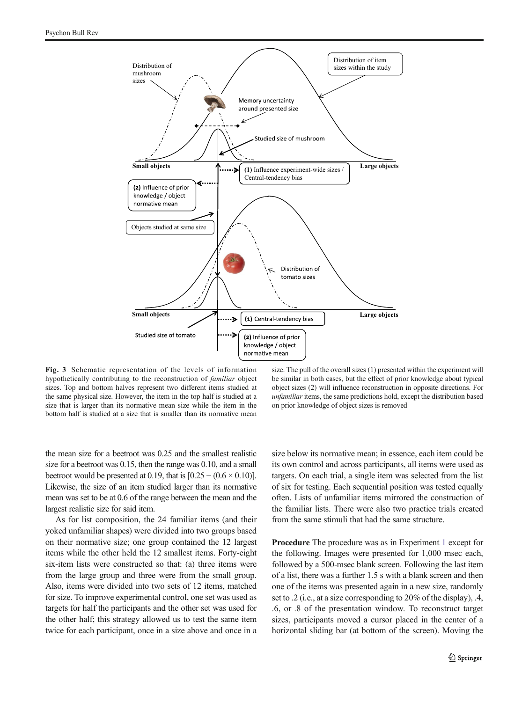<span id="page-7-0"></span>

Fig. 3 Schematic representation of the levels of information hypothetically contributing to the reconstruction of familiar object sizes. Top and bottom halves represent two different items studied at the same physical size. However, the item in the top half is studied at a size that is larger than its normative mean size while the item in the bottom half is studied at a size that is smaller than its normative mean

size. The pull of the overall sizes (1) presented within the experiment will be similar in both cases, but the effect of prior knowledge about typical object sizes (2) will influence reconstruction in opposite directions. For unfamiliar items, the same predictions hold, except the distribution based on prior knowledge of object sizes is removed

the mean size for a beetroot was 0.25 and the smallest realistic size for a beetroot was 0.15, then the range was 0.10, and a small beetroot would be presented at 0.19, that is  $[0.25 - (0.6 \times 0.10)]$ . Likewise, the size of an item studied larger than its normative mean was set to be at 0.6 of the range between the mean and the largest realistic size for said item.

As for list composition, the 24 familiar items (and their yoked unfamiliar shapes) were divided into two groups based on their normative size; one group contained the 12 largest items while the other held the 12 smallest items. Forty-eight six-item lists were constructed so that: (a) three items were from the large group and three were from the small group. Also, items were divided into two sets of 12 items, matched for size. To improve experimental control, one set was used as targets for half the participants and the other set was used for the other half; this strategy allowed us to test the same item twice for each participant, once in a size above and once in a size below its normative mean; in essence, each item could be its own control and across participants, all items were used as targets. On each trial, a single item was selected from the list of six for testing. Each sequential position was tested equally often. Lists of unfamiliar items mirrored the construction of the familiar lists. There were also two practice trials created from the same stimuli that had the same structure.

Procedure The procedure was as in Experiment [1](#page-3-0) except for the following. Images were presented for 1,000 msec each, followed by a 500-msec blank screen. Following the last item of a list, there was a further 1.5 s with a blank screen and then one of the items was presented again in a new size, randomly set to .2 (i.e., at a size corresponding to 20% of the display), .4, .6, or .8 of the presentation window. To reconstruct target sizes, participants moved a cursor placed in the center of a horizontal sliding bar (at bottom of the screen). Moving the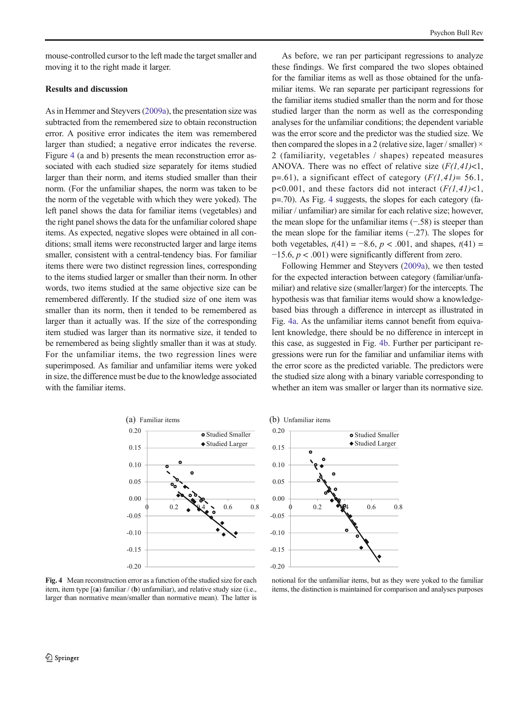mouse-controlled cursor to the left made the target smaller and moving it to the right made it larger.

#### Results and discussion

As in Hemmer and Steyvers [\(2009a](#page-11-0)), the presentation size was subtracted from the remembered size to obtain reconstruction error. A positive error indicates the item was remembered larger than studied; a negative error indicates the reverse. Figure 4 (a and b) presents the mean reconstruction error associated with each studied size separately for items studied larger than their norm, and items studied smaller than their norm. (For the unfamiliar shapes, the norm was taken to be the norm of the vegetable with which they were yoked). The left panel shows the data for familiar items (vegetables) and the right panel shows the data for the unfamiliar colored shape items. As expected, negative slopes were obtained in all conditions; small items were reconstructed larger and large items smaller, consistent with a central-tendency bias. For familiar items there were two distinct regression lines, corresponding to the items studied larger or smaller than their norm. In other words, two items studied at the same objective size can be remembered differently. If the studied size of one item was smaller than its norm, then it tended to be remembered as larger than it actually was. If the size of the corresponding item studied was larger than its normative size, it tended to be remembered as being slightly smaller than it was at study. For the unfamiliar items, the two regression lines were superimposed. As familiar and unfamiliar items were yoked in size, the difference must be due to the knowledge associated with the familiar items.

As before, we ran per participant regressions to analyze these findings. We first compared the two slopes obtained for the familiar items as well as those obtained for the unfamiliar items. We ran separate per participant regressions for the familiar items studied smaller than the norm and for those studied larger than the norm as well as the corresponding analyses for the unfamiliar conditions; the dependent variable was the error score and the predictor was the studied size. We then compared the slopes in a 2 (relative size, lager / smaller)  $\times$ 2 (familiarity, vegetables / shapes) repeated measures ANOVA. There was no effect of relative size  $(F(1,41) < 1,$ p=.61), a significant effect of category  $(F(1,41)= 56.1,$ p<0.001, and these factors did not interact  $(F(1,41) < 1,$ p=.70). As Fig. 4 suggests, the slopes for each category (familiar / unfamiliar) are similar for each relative size; however, the mean slope for the unfamiliar items (−.58) is steeper than the mean slope for the familiar items (−.27). The slopes for both vegetables,  $t(41) = -8.6$ ,  $p < .001$ , and shapes,  $t(41) =$  $-15.6$ ,  $p < .001$ ) were significantly different from zero.

Following Hemmer and Steyvers ([2009a](#page-11-0)), we then tested for the expected interaction between category (familiar/unfamiliar) and relative size (smaller/larger) for the intercepts. The hypothesis was that familiar items would show a knowledgebased bias through a difference in intercept as illustrated in Fig. 4a. As the unfamiliar items cannot benefit from equivalent knowledge, there should be no difference in intercept in this case, as suggested in Fig. 4b. Further per participant regressions were run for the familiar and unfamiliar items with the error score as the predicted variable. The predictors were the studied size along with a binary variable corresponding to whether an item was smaller or larger than its normative size.

**o** Studied Smaller



Studied Larger 0.15  $\bullet$ 0.10 0.05 0.00  $0.2$   $\sqrt{64}$  0.6 0.8 -0.05 -0.10 -0.15 -0.20

0.20

Fig. 4 Mean reconstruction error as a function of the studied size for each item, item type [(a) familiar / (b) unfamiliar), and relative study size (i.e., larger than normative mean/smaller than normative mean). The latter is

notional for the unfamiliar items, but as they were yoked to the familiar items, the distinction is maintained for comparison and analyses purposes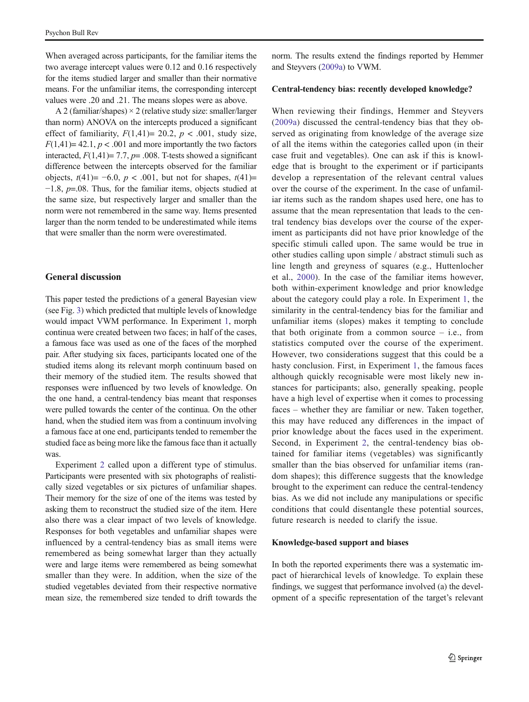When averaged across participants, for the familiar items the two average intercept values were 0.12 and 0.16 respectively for the items studied larger and smaller than their normative means. For the unfamiliar items, the corresponding intercept values were .20 and .21. The means slopes were as above.

A 2 (familiar/shapes)  $\times$  2 (relative study size: smaller/larger than norm) ANOVA on the intercepts produced a significant effect of familiarity,  $F(1,41) = 20.2$ ,  $p < .001$ , study size,  $F(1,41)= 42.1, p < .001$  and more importantly the two factors interacted,  $F(1,41)= 7.7$ ,  $p= .008$ . T-tests showed a significant difference between the intercepts observed for the familiar objects,  $t(41) = -6.0$ ,  $p < .001$ , but not for shapes,  $t(41) =$ −1.8, p=.08. Thus, for the familiar items, objects studied at the same size, but respectively larger and smaller than the norm were not remembered in the same way. Items presented larger than the norm tended to be underestimated while items that were smaller than the norm were overestimated.

#### General discussion

This paper tested the predictions of a general Bayesian view (see Fig. [3](#page-7-0)) which predicted that multiple levels of knowledge would impact VWM performance. In Experiment [1,](#page-3-0) morph continua were created between two faces; in half of the cases, a famous face was used as one of the faces of the morphed pair. After studying six faces, participants located one of the studied items along its relevant morph continuum based on their memory of the studied item. The results showed that responses were influenced by two levels of knowledge. On the one hand, a central-tendency bias meant that responses were pulled towards the center of the continua. On the other hand, when the studied item was from a continuum involving a famous face at one end, participants tended to remember the studied face as being more like the famous face than it actually was.

Experiment [2](#page-6-0) called upon a different type of stimulus. Participants were presented with six photographs of realistically sized vegetables or six pictures of unfamiliar shapes. Their memory for the size of one of the items was tested by asking them to reconstruct the studied size of the item. Here also there was a clear impact of two levels of knowledge. Responses for both vegetables and unfamiliar shapes were influenced by a central-tendency bias as small items were remembered as being somewhat larger than they actually were and large items were remembered as being somewhat smaller than they were. In addition, when the size of the studied vegetables deviated from their respective normative mean size, the remembered size tended to drift towards the

norm. The results extend the findings reported by Hemmer and Steyvers ([2009a\)](#page-11-0) to VWM.

#### Central-tendency bias: recently developed knowledge?

When reviewing their findings, Hemmer and Steyvers [\(2009a](#page-11-0)) discussed the central-tendency bias that they observed as originating from knowledge of the average size of all the items within the categories called upon (in their case fruit and vegetables). One can ask if this is knowledge that is brought to the experiment or if participants develop a representation of the relevant central values over the course of the experiment. In the case of unfamiliar items such as the random shapes used here, one has to assume that the mean representation that leads to the central tendency bias develops over the course of the experiment as participants did not have prior knowledge of the specific stimuli called upon. The same would be true in other studies calling upon simple / abstract stimuli such as line length and greyness of squares (e.g., Huttenlocher et al., [2000\)](#page-11-0). In the case of the familiar items however, both within-experiment knowledge and prior knowledge about the category could play a role. In Experiment [1](#page-3-0), the similarity in the central-tendency bias for the familiar and unfamiliar items (slopes) makes it tempting to conclude that both originate from a common source  $-$  i.e., from statistics computed over the course of the experiment. However, two considerations suggest that this could be a hasty conclusion. First, in Experiment [1](#page-3-0), the famous faces although quickly recognisable were most likely new instances for participants; also, generally speaking, people have a high level of expertise when it comes to processing faces – whether they are familiar or new. Taken together, this may have reduced any differences in the impact of prior knowledge about the faces used in the experiment. Second, in Experiment [2](#page-6-0), the central-tendency bias obtained for familiar items (vegetables) was significantly smaller than the bias observed for unfamiliar items (random shapes); this difference suggests that the knowledge brought to the experiment can reduce the central-tendency bias. As we did not include any manipulations or specific conditions that could disentangle these potential sources, future research is needed to clarify the issue.

#### Knowledge-based support and biases

In both the reported experiments there was a systematic impact of hierarchical levels of knowledge. To explain these findings, we suggest that performance involved (a) the development of a specific representation of the target's relevant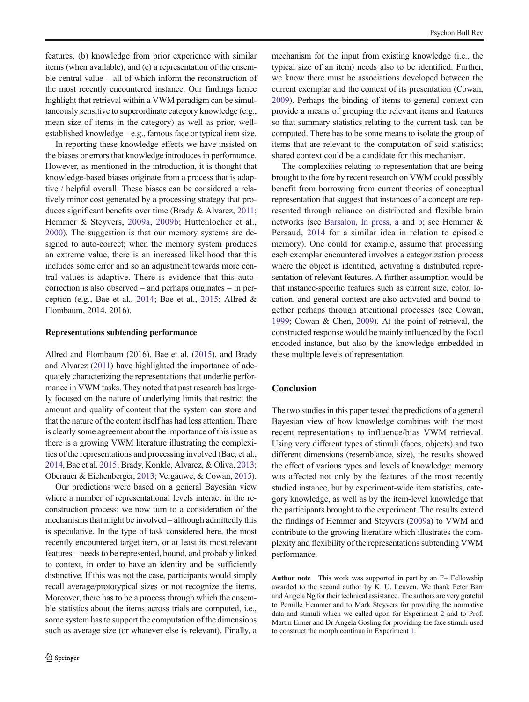features, (b) knowledge from prior experience with similar items (when available), and (c) a representation of the ensemble central value – all of which inform the reconstruction of the most recently encountered instance. Our findings hence highlight that retrieval within a VWM paradigm can be simultaneously sensitive to superordinate category knowledge (e.g., mean size of items in the category) as well as prior, wellestablished knowledge – e.g., famous face or typical item size.

In reporting these knowledge effects we have insisted on the biases or errors that knowledge introduces in performance. However, as mentioned in the introduction, it is thought that knowledge-based biases originate from a process that is adaptive / helpful overall. These biases can be considered a relatively minor cost generated by a processing strategy that produces significant benefits over time (Brady & Alvarez, [2011](#page-11-0); Hemmer & Steyvers, [2009a](#page-11-0), [2009b](#page-11-0); Huttenlocher et al., [2000\)](#page-11-0). The suggestion is that our memory systems are designed to auto-correct; when the memory system produces an extreme value, there is an increased likelihood that this includes some error and so an adjustment towards more central values is adaptive. There is evidence that this autocorrection is also observed – and perhaps originates – in perception (e.g., Bae et al., [2014;](#page-11-0) Bae et al., [2015;](#page-11-0) Allred & Flombaum, 2014, 2016).

#### Representations subtending performance

Allred and Flombaum (2016), Bae et al. [\(2015\)](#page-11-0), and Brady and Alvarez [\(2011](#page-11-0)) have highlighted the importance of adequately characterizing the representations that underlie performance in VWM tasks. They noted that past research has largely focused on the nature of underlying limits that restrict the amount and quality of content that the system can store and that the nature of the content itself has had less attention. There is clearly some agreement about the importance of this issue as there is a growing VWM literature illustrating the complexities of the representations and processing involved (Bae, et al., [2014,](#page-11-0) Bae et al. [2015;](#page-11-0) Brady, Konkle, Alvarez, & Oliva, [2013](#page-11-0); Oberauer & Eichenberger, [2013;](#page-11-0) Vergauwe, & Cowan, [2015\)](#page-11-0).

Our predictions were based on a general Bayesian view where a number of representational levels interact in the reconstruction process; we now turn to a consideration of the mechanisms that might be involved – although admittedly this is speculative. In the type of task considered here, the most recently encountered target item, or at least its most relevant features – needs to be represented, bound, and probably linked to context, in order to have an identity and be sufficiently distinctive. If this was not the case, participants would simply recall average/prototypical sizes or not recognize the items. Moreover, there has to be a process through which the ensemble statistics about the items across trials are computed, i.e., some system has to support the computation of the dimensions such as average size (or whatever else is relevant). Finally, a mechanism for the input from existing knowledge (i.e., the typical size of an item) needs also to be identified. Further, we know there must be associations developed between the current exemplar and the context of its presentation (Cowan, [2009\)](#page-11-0). Perhaps the binding of items to general context can provide a means of grouping the relevant items and features so that summary statistics relating to the current task can be computed. There has to be some means to isolate the group of items that are relevant to the computation of said statistics; shared context could be a candidate for this mechanism.

The complexities relating to representation that are being brought to the fore by recent research on VWM could possibly benefit from borrowing from current theories of conceptual representation that suggest that instances of a concept are represented through reliance on distributed and flexible brain networks (see [Barsalou, In press, a](#page-11-0) and [b;](#page-11-0) see Hemmer & Persaud, [2014](#page-11-0) for a similar idea in relation to episodic memory). One could for example, assume that processing each exemplar encountered involves a categorization process where the object is identified, activating a distributed representation of relevant features. A further assumption would be that instance-specific features such as current size, color, location, and general context are also activated and bound together perhaps through attentional processes (see Cowan, [1999;](#page-11-0) Cowan & Chen, [2009](#page-11-0)). At the point of retrieval, the constructed response would be mainly influenced by the focal encoded instance, but also by the knowledge embedded in these multiple levels of representation.

#### **Conclusion**

The two studies in this paper tested the predictions of a general Bayesian view of how knowledge combines with the most recent representations to influence/bias VWM retrieval. Using very different types of stimuli (faces, objects) and two different dimensions (resemblance, size), the results showed the effect of various types and levels of knowledge: memory was affected not only by the features of the most recently studied instance, but by experiment-wide item statistics, category knowledge, as well as by the item-level knowledge that the participants brought to the experiment. The results extend the findings of Hemmer and Steyvers [\(2009a\)](#page-11-0) to VWM and contribute to the growing literature which illustrates the complexity and flexibility of the representations subtending VWM performance.

Author note This work was supported in part by an F+ Fellowship awarded to the second author by K. U. Leuven. We thank Peter Barr and Angela Ng for their technical assistance. The authors are very grateful to Pernille Hemmer and to Mark Steyvers for providing the normative data and stimuli which we called upon for Experiment [2](#page-6-0) and to Prof. Martin Eimer and Dr Angela Gosling for providing the face stimuli used to construct the morph continua in Experiment [1](#page-3-0).